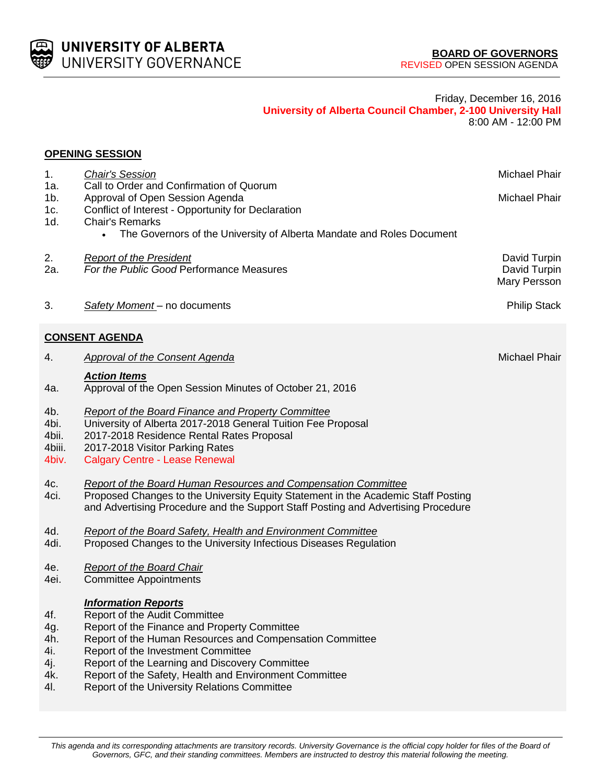

### Friday, December 16, 2016 **University of Alberta Council Chamber, 2-100 University Hall** 8:00 AM - 12:00 PM

### **OPENING SESSION**

| 1.              | <b>Chair's Session</b>                                                               | Michael Phair        |
|-----------------|--------------------------------------------------------------------------------------|----------------------|
| 1a.<br>$1b$ .   | Call to Order and Confirmation of Quorum<br>Approval of Open Session Agenda          | Michael Phair        |
| 1c.             | Conflict of Interest - Opportunity for Declaration                                   |                      |
| 1d.             | <b>Chair's Remarks</b>                                                               |                      |
|                 | The Governors of the University of Alberta Mandate and Roles Document<br>$\bullet$   |                      |
| 2.              | <b>Report of the President</b>                                                       | David Turpin         |
| 2a.             | For the Public Good Performance Measures                                             | David Turpin         |
|                 |                                                                                      | Mary Persson         |
| 3.              | Safety Moment - no documents                                                         | <b>Philip Stack</b>  |
|                 | <b>CONSENT AGENDA</b>                                                                |                      |
|                 |                                                                                      |                      |
| 4.              | <b>Approval of the Consent Agenda</b>                                                | <b>Michael Phair</b> |
| 4a.             | <b>Action Items</b><br>Approval of the Open Session Minutes of October 21, 2016      |                      |
| 4b.             | <b>Report of the Board Finance and Property Committee</b>                            |                      |
| 4bi.            | University of Alberta 2017-2018 General Tuition Fee Proposal                         |                      |
| 4bii.           | 2017-2018 Residence Rental Rates Proposal                                            |                      |
| 4biii.<br>4biv. | 2017-2018 Visitor Parking Rates                                                      |                      |
|                 | <b>Calgary Centre - Lease Renewal</b>                                                |                      |
| 4c.             | <b>Report of the Board Human Resources and Compensation Committee</b>                |                      |
| 4ci.            | Proposed Changes to the University Equity Statement in the Academic Staff Posting    |                      |
|                 | and Advertising Procedure and the Support Staff Posting and Advertising Procedure    |                      |
| 4d.             | <b>Report of the Board Safety, Health and Environment Committee</b>                  |                      |
| 4di.            | Proposed Changes to the University Infectious Diseases Regulation                    |                      |
| 4e.             | <b>Report of the Board Chair</b>                                                     |                      |
| 4ei.            | <b>Committee Appointments</b>                                                        |                      |
|                 | <b>Information Reports</b>                                                           |                      |
| 4f.             | Report of the Audit Committee                                                        |                      |
| 4g.             | Report of the Finance and Property Committee                                         |                      |
| 4h.             | Report of the Human Resources and Compensation Committee                             |                      |
| 4i.<br>4j.      | Report of the Investment Committee<br>Report of the Learning and Discovery Committee |                      |
| 4k.             | Report of the Safety, Health and Environment Committee                               |                      |
| 4I.             | Report of the University Relations Committee                                         |                      |
|                 |                                                                                      |                      |